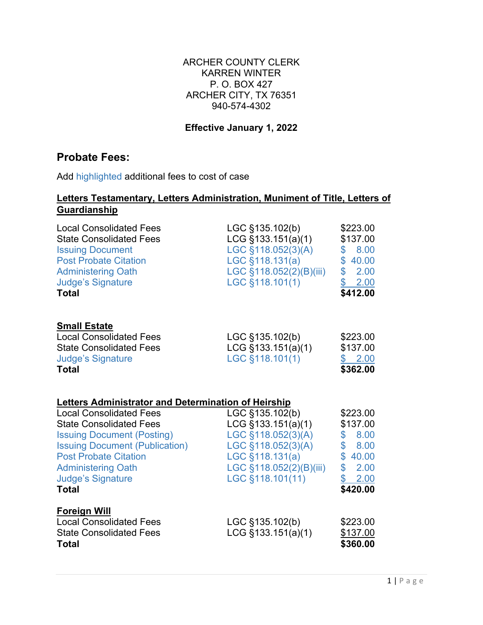## ARCHER COUNTY CLERK KARREN WINTER P. O. BOX 427 ARCHER CITY, TX 76351 940-574-4302

## **Effective January 1, 2022**

## **Probate Fees:**

Add highlighted additional fees to cost of case

## **Letters Testamentary, Letters Administration, Muniment of Title, Letters of Guardianship**

| <b>Local Consolidated Fees</b><br><b>State Consolidated Fees</b><br><b>Issuing Document</b><br><b>Post Probate Citation</b><br><b>Administering Oath</b><br><b>Judge's Signature</b><br><b>Total</b>                                                                                                                  | LGC §135.102(b)<br>$LCG$ §133.151(a)(1)<br>LGC §118.052(3)(A)<br>LGC §118.131(a)<br>LGC §118.052(2)(B)(iii)<br>LGC §118.101(1)                      | \$223.00<br>\$137.00<br>8.00<br>\$<br>\$40.00<br>\$ 2.00<br>\$<br>2.00<br>\$412.00                          |
|-----------------------------------------------------------------------------------------------------------------------------------------------------------------------------------------------------------------------------------------------------------------------------------------------------------------------|-----------------------------------------------------------------------------------------------------------------------------------------------------|-------------------------------------------------------------------------------------------------------------|
| <b>Small Estate</b><br><b>Local Consolidated Fees</b><br><b>State Consolidated Fees</b><br><b>Judge's Signature</b><br><b>Total</b>                                                                                                                                                                                   | LGC §135.102(b)<br>$LCG$ §133.151(a)(1)<br>LGC §118.101(1)                                                                                          | \$223.00<br>\$137.00<br>\$2.00<br>\$362.00                                                                  |
| <b>Letters Administrator and Determination of Heirship</b><br><b>Local Consolidated Fees</b><br><b>State Consolidated Fees</b><br><b>Issuing Document (Posting)</b><br><b>Issuing Document (Publication)</b><br><b>Post Probate Citation</b><br><b>Administering Oath</b><br><b>Judge's Signature</b><br><b>Total</b> | LGC §135.102(b)<br>LCG §133.151(a)(1)<br>LGC §118.052(3)(A)<br>LGC §118.052(3)(A)<br>LGC §118.131(a)<br>LGC §118.052(2)(B)(iii)<br>LGC §118.101(11) | \$223.00<br>\$137.00<br>8.00<br>$\mathbb{S}^-$<br>\$8.00<br>\$40.00<br>\$<br>2.00<br>\$<br>2.00<br>\$420.00 |
| <b>Foreign Will</b><br><b>Local Consolidated Fees</b><br><b>State Consolidated Fees</b><br><b>Total</b>                                                                                                                                                                                                               | LGC §135.102(b)<br>$LCG$ §133.151(a)(1)                                                                                                             | \$223.00<br>\$137.00<br>\$360.00                                                                            |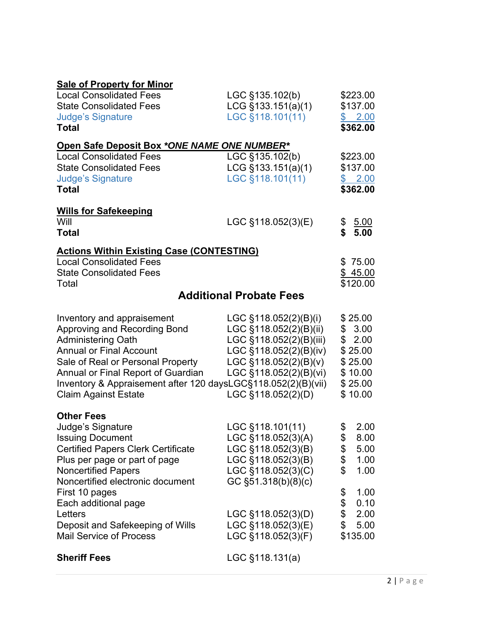| <b>Sale of Property for Minor</b>                             |                                                 |            |
|---------------------------------------------------------------|-------------------------------------------------|------------|
| <b>Local Consolidated Fees</b>                                | LGC §135.102(b)                                 | \$223.00   |
| <b>State Consolidated Fees</b>                                | LCG $§133.151(a)(1)$                            | \$137.00   |
| <b>Judge's Signature</b>                                      | LGC §118.101(11)                                | \$2.00     |
| <b>Total</b>                                                  |                                                 | \$362.00   |
| Open Safe Deposit Box *ONE NAME ONE NUMBER*                   |                                                 |            |
| <b>Local Consolidated Fees</b>                                | LGC §135.102(b)                                 | \$223.00   |
| <b>State Consolidated Fees</b>                                | $LCG$ §133.151(a)(1)                            | \$137.00   |
| <b>Judge's Signature</b>                                      | LGC §118.101(11)                                | \$2.00     |
| <b>Total</b>                                                  |                                                 | \$362.00   |
| <b>Wills for Safekeeping</b>                                  |                                                 |            |
| Will                                                          | LGC §118.052(3)(E)                              | \$<br>5.00 |
| <b>Total</b>                                                  |                                                 | \$<br>5.00 |
| <b>Actions Within Existing Case (CONTESTING)</b>              |                                                 |            |
| <b>Local Consolidated Fees</b>                                |                                                 | \$75.00    |
| <b>State Consolidated Fees</b>                                |                                                 | \$45.00    |
| Total                                                         |                                                 | \$120.00   |
|                                                               | <b>Additional Probate Fees</b>                  |            |
|                                                               |                                                 | \$25.00    |
| Inventory and appraisement<br>Approving and Recording Bond    | LGC §118.052(2)(B)(i)<br>LGC §118.052(2)(B)(ii) | \$3.00     |
| <b>Administering Oath</b>                                     | LGC §118.052(2)(B)(iii)                         | \$2.00     |
| <b>Annual or Final Account</b>                                | LGC §118.052(2)(B)(iv)                          | \$25.00    |
| Sale of Real or Personal Property                             | LGC $§118.052(2)(B)(v)$                         | \$25.00    |
| Annual or Final Report of Guardian                            | LGC §118.052(2)(B)(vi)                          | \$10.00    |
| Inventory & Appraisement after 120 daysLGC§118.052(2)(B)(vii) |                                                 | \$25.00    |
| <b>Claim Against Estate</b>                                   | LGC §118.052(2)(D)                              | \$10.00    |
|                                                               |                                                 |            |
| <b>Other Fees</b><br>Judge's Signature                        | LGC §118.101(11)                                | \$<br>2.00 |
| <b>Issuing Document</b>                                       | LGC §118.052(3)(A)                              | 8.00<br>\$ |
| <b>Certified Papers Clerk Certificate</b>                     | LGC §118.052(3)(B)                              | \$<br>5.00 |
| Plus per page or part of page                                 | LGC §118.052(3)(B)                              | \$<br>1.00 |
| <b>Noncertified Papers</b>                                    | LGC §118.052(3)(C)                              | \$<br>1.00 |
| Noncertified electronic document                              | GC $\S51.318(b)(8)(c)$                          |            |
| First 10 pages                                                |                                                 | \$<br>1.00 |
| Each additional page                                          |                                                 | \$<br>0.10 |
| Letters                                                       | LGC §118.052(3)(D)                              | \$<br>2.00 |
| Deposit and Safekeeping of Wills                              | LGC §118.052(3)(E)                              | \$<br>5.00 |
| <b>Mail Service of Process</b>                                | LGC §118.052(3)(F)                              | \$135.00   |
| <b>Sheriff Fees</b>                                           | $LGC$ §118.131(a)                               |            |